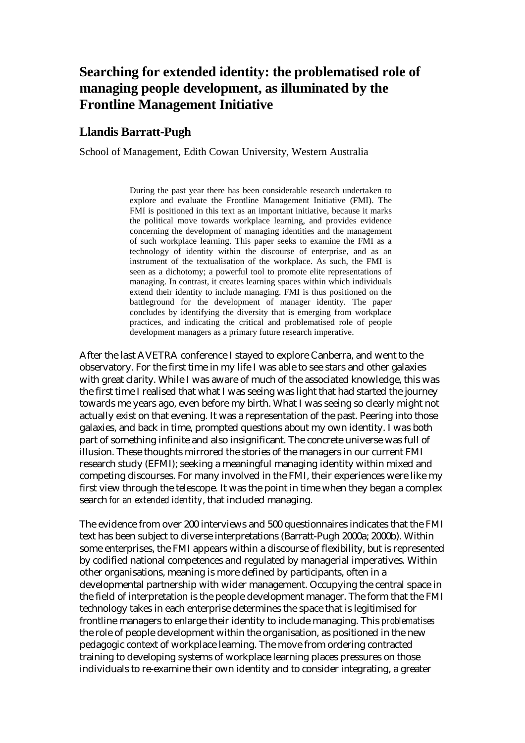# **Searching for extended identity: the problematised role of managing people development, as illuminated by the Frontline Management Initiative**

## **Llandis Barratt-Pugh**

School of Management, Edith Cowan University, Western Australia

During the past year there has been considerable research undertaken to explore and evaluate the Frontline Management Initiative (FMI). The FMI is positioned in this text as an important initiative, because it marks the political move towards workplace learning, and provides evidence concerning the development of managing identities and the management of such workplace learning. This paper seeks to examine the FMI as a technology of identity within the discourse of enterprise, and as an instrument of the textualisation of the workplace. As such, the FMI is seen as a dichotomy; a powerful tool to promote elite representations of managing. In contrast, it creates learning spaces within which individuals extend their identity to include managing. FMI is thus positioned on the battleground for the development of manager identity. The paper concludes by identifying the diversity that is emerging from workplace practices, and indicating the critical and problematised role of people development managers as a primary future research imperative.

After the last AVETRA conference I stayed to explore Canberra, and went to the observatory. For the first time in my life I was able to see stars and other galaxies with great clarity. While I was aware of much of the associated knowledge, this was the first time I realised that what I was seeing was light that had started the journey towards me years ago, even before my birth. What I was seeing so clearly might not actually exist on that evening. It was a representation of the past. Peering into those galaxies, and back in time, prompted questions about my own identity. I was both part of something infinite and also insignificant. The concrete universe was full of illusion. These thoughts mirrored the stories of the managers in our current FMI research study (EFMI); seeking a meaningful managing identity within mixed and competing discourses. For many involved in the FMI, their experiences were like my first view through the telescope. It was the point in time when they began a complex search *for an extended identity*, that included managing.

The evidence from over 200 interviews and 500 questionnaires indicates that the FMI text has been subject to diverse interpretations (Barratt-Pugh 2000a; 2000b). Within some enterprises, the FMI appears within a discourse of flexibility, but is represented by codified national competences and regulated by managerial imperatives*.* Within other organisations, meaning is more defined by participants, often in a developmental partnership with wider management. Occupying the central space in the field of interpretation is the people development manager. The form that the FMI technology takes in each enterprise determines the space that is legitimised for frontline managers to enlarge their identity to include managing. This *problematises*  the role of people development within the organisation, as positioned in the new pedagogic context of workplace learning. The move from ordering contracted training to developing systems of workplace learning places pressures on those individuals to re-examine their own identity and to consider integrating, a greater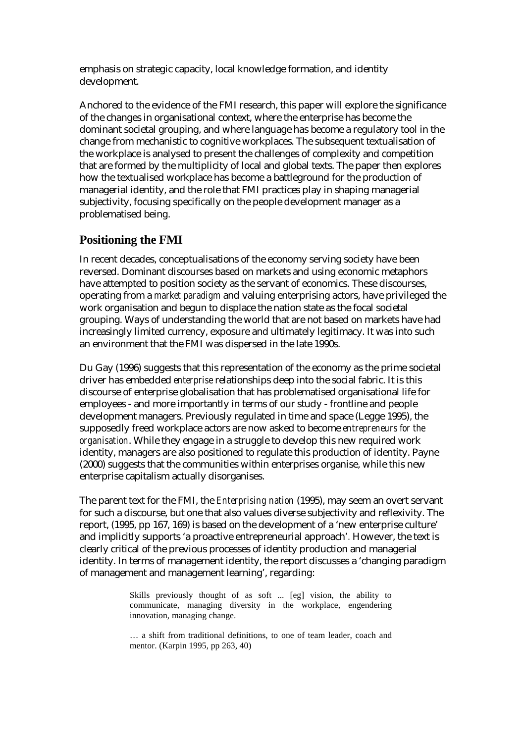emphasis on strategic capacity, local knowledge formation, and identity development.

Anchored to the evidence of the FMI research, this paper will explore the significance of the changes in organisational context, where the enterprise has become the dominant societal grouping, and where language has become a regulatory tool in the change from mechanistic to cognitive workplaces. The subsequent textualisation of the workplace is analysed to present the challenges of complexity and competition that are formed by the multiplicity of local and global texts. The paper then explores how the textualised workplace has become a battleground for the production of managerial identity, and the role that FMI practices play in shaping managerial subjectivity, focusing specifically on the people development manager as a problematised being.

# **Positioning the FMI**

In recent decades, conceptualisations of the economy serving society have been reversed. Dominant discourses based on markets and using economic metaphors have attempted to position society as the servant of economics. These discourses, operating from a *market paradigm* and valuing enterprising actors, have privileged the work organisation and begun to displace the nation state as the focal societal grouping. Ways of understanding the world that are not based on markets have had increasingly limited currency, exposure and ultimately legitimacy. It was into such an environment that the FMI was dispersed in the late 1990s.

Du Gay (1996) suggests that this representation of the economy as the prime societal driver has embedded *enterprise* relationships deep into the social fabric. It is this discourse of enterprise globalisation that has problematised organisational life for employees - and more importantly in terms of our study - frontline and people development managers. Previously regulated in time and space (Legge 1995), the supposedly freed workplace actors are now asked to become *entrepreneurs for the organisation*. While they engage in a struggle to develop this new required work identity, managers are also positioned to regulate this production of identity. Payne (2000) suggests that the communities within enterprises organise, while this new enterprise capitalism actually disorganises.

The parent text for the FMI, the *Enterprising nation* (1995), may seem an overt servant for such a discourse, but one that also values diverse subjectivity and reflexivity. The report, (1995, pp 167, 169) is based on the development of a 'new enterprise culture' and implicitly supports 'a proactive entrepreneurial approach'*.* However, the text is clearly critical of the previous processes of identity production and managerial identity. In terms of management identity, the report discusses a 'changing paradigm of management and management learning', regarding:

> Skills previously thought of as soft ... [eg] vision, the ability to communicate, managing diversity in the workplace, engendering innovation, managing change.

> … a shift from traditional definitions, to one of team leader, coach and mentor. (Karpin 1995, pp 263, 40)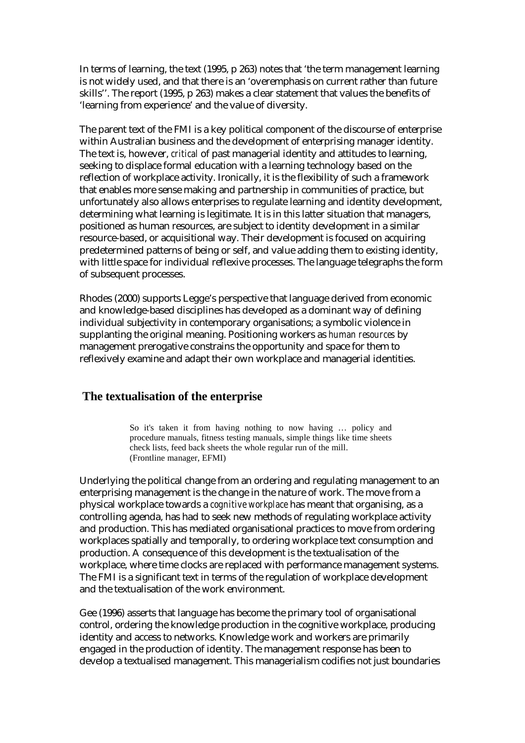In terms of learning, the text (1995, p 263) notes that 'the term management learning is not widely used, and that there is an 'overemphasis on current rather than future skills''. The report (1995, p 263) makes a clear statement that values the benefits of 'learning from experience' and the value of diversity.

The parent text of the FMI is a key political component of the discourse of enterprise within Australian business and the development of enterprising manager identity. The text is, however, *critical* of past managerial identity and attitudes to learning, seeking to displace formal education with a learning technology based on the reflection of workplace activity. Ironically, it is the flexibility of such a framework that enables more sense making and partnership in communities of practice, but unfortunately also allows enterprises to regulate learning and identity development, determining what learning is legitimate. It is in this latter situation that managers, positioned as human resources, are subject to identity development in a similar resource-based, or acquisitional way. Their development is focused on acquiring predetermined patterns of being or self, and value adding them to existing identity, with little space for individual reflexive processes. The language telegraphs the form of subsequent processes.

Rhodes (2000) supports Legge's perspective that language derived from economic and knowledge-based disciplines has developed as a dominant way of defining individual subjectivity in contemporary organisations; a symbolic violence in supplanting the original meaning. Positioning workers as *human resources* by management prerogative constrains the opportunity and space for them to reflexively examine and adapt their own workplace and managerial identities.

### **The textualisation of the enterprise**

So it's taken it from having nothing to now having … policy and procedure manuals, fitness testing manuals, simple things like time sheets check lists, feed back sheets the whole regular run of the mill. (Frontline manager, EFMI)

Underlying the political change from an ordering and regulating management to an enterprising management is the change in the nature of work. The move from a physical workplace towards a *cognitive workplace* has meant that organising, as a controlling agenda, has had to seek new methods of regulating workplace activity and production. This has mediated organisational practices to move from ordering workplaces spatially and temporally, to ordering workplace text consumption and production. A consequence of this development is the textualisation of the workplace, where time clocks are replaced with performance management systems. The FMI is a significant text in terms of the regulation of workplace development and the textualisation of the work environment.

Gee (1996) asserts that language has become the primary tool of organisational control, ordering the knowledge production in the cognitive workplace, producing identity and access to networks. Knowledge work and workers are primarily engaged in the production of identity. The management response has been to develop a textualised management. This managerialism codifies not just boundaries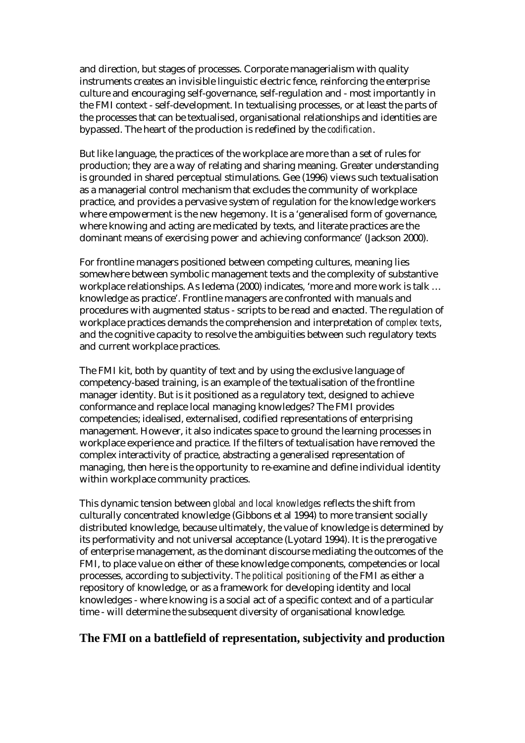and direction, but stages of processes. Corporate managerialism with quality instruments creates an invisible linguistic electric fence, reinforcing the enterprise culture and encouraging self-governance, self-regulation and - most importantly in the FMI context - self-development. In textualising processes, or at least the parts of the processes that can be textualised, organisational relationships and identities are bypassed. The heart of the production is redefined by the *codification*.

But like language, the practices of the workplace are more than a set of rules for production; they are a way of relating and sharing meaning. Greater understanding is grounded in shared perceptual stimulations. Gee (1996) views such textualisation as a managerial control mechanism that excludes the community of workplace practice, and provides a pervasive system of regulation for the knowledge workers where empowerment is the new hegemony. It is a 'generalised form of governance, where knowing and acting are medicated by texts, and literate practices are the dominant means of exercising power and achieving conformance' (Jackson 2000).

For frontline managers positioned between competing cultures, meaning lies somewhere between symbolic management texts and the complexity of substantive workplace relationships. As Iedema (2000) indicates, 'more and more work is talk … knowledge as practice'. Frontline managers are confronted with manuals and procedures with augmented status - scripts to be read and enacted. The regulation of workplace practices demands the comprehension and interpretation of *complex texts*, and the cognitive capacity to resolve the ambiguities between such regulatory texts and current workplace practices.

The FMI kit, both by quantity of text and by using the exclusive language of competency-based training, is an example of the textualisation of the frontline manager identity. But is it positioned as a regulatory text, designed to achieve conformance and replace local managing knowledges? The FMI provides competencies; idealised, externalised, codified representations of enterprising management. However, it also indicates space to ground the learning processes in workplace experience and practice. If the filters of textualisation have removed the complex interactivity of practice, abstracting a generalised representation of managing, then here is the opportunity to re-examine and define individual identity within workplace community practices.

This dynamic tension between *global and local knowledges* reflects the shift from culturally concentrated knowledge (Gibbons et al 1994) to more transient socially distributed knowledge, because ultimately, the value of knowledge is determined by its performativity and not universal acceptance (Lyotard 1994). It is the prerogative of enterprise management, as the dominant discourse mediating the outcomes of the FMI, to place value on either of these knowledge components, competencies or local processes, according to subjectivity. *The political positioning* of the FMI as either a repository of knowledge, or as a framework for developing identity and local knowledges - where knowing is a social act of a specific context and of a particular time - will determine the subsequent diversity of organisational knowledge.

# **The FMI on a battlefield of representation, subjectivity and production**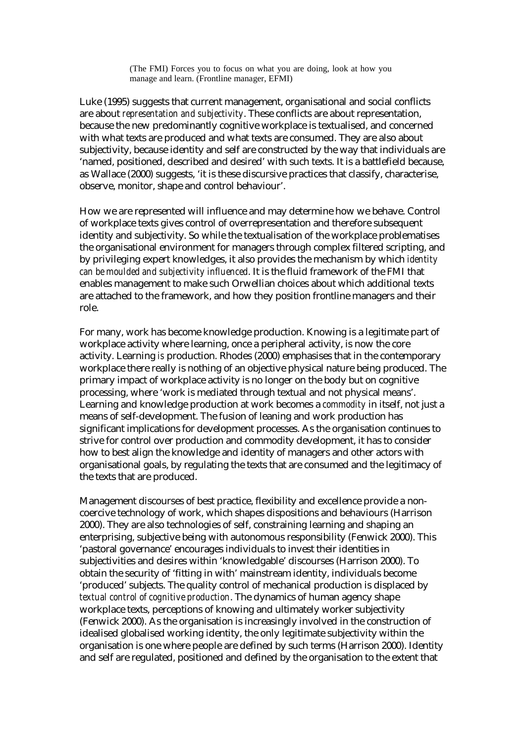(The FMI) Forces you to focus on what you are doing, look at how you manage and learn. (Frontline manager, EFMI)

Luke (1995) suggests that current management, organisational and social conflicts are about *representation and subjectivity*. These conflicts are about representation, because the new predominantly cognitive workplace is textualised, and concerned with what texts are produced and what texts are consumed. They are also about subjectivity, because identity and self are constructed by the way that individuals are 'named, positioned, described and desired' with such texts. It is a battlefield because, as Wallace (2000) suggests, 'it is these discursive practices that classify, characterise, observe, monitor, shape and control behaviour'.

How we are represented will influence and may determine how we behave. Control of workplace texts gives control of overrepresentation and therefore subsequent identity and subjectivity. So while the textualisation of the workplace problematises the organisational environment for managers through complex filtered scripting, and by privileging expert knowledges, it also provides the mechanism by which *identity can be moulded and subjectivity influenced*. It is the fluid framework of the FMI that enables management to make such Orwellian choices about which additional texts are attached to the framework, and how they position frontline managers and their role.

For many, work has become knowledge production. Knowing is a legitimate part of workplace activity where learning, once a peripheral activity, is now the core activity. Learning *is* production. Rhodes (2000) emphasises that in the contemporary workplace there really is nothing of an objective physical nature being produced. The primary impact of workplace activity is no longer on the body but on cognitive processing, where 'work is mediated through textual and not physical means'. Learning and knowledge production at work becomes a *commodity* in itself, not just a means of self-development. The fusion of leaning and work production has significant implications for development processes. As the organisation continues to strive for control over production and commodity development, it has to consider how to best align the knowledge and identity of managers and other actors with organisational goals, by regulating the texts that are consumed and the legitimacy of the texts that are produced.

Management discourses of best practice, flexibility and excellence provide a noncoercive technology of work, which shapes dispositions and behaviours (Harrison 2000). They are also technologies of self, constraining learning and shaping an enterprising, subjective being with autonomous responsibility (Fenwick 2000). This 'pastoral governance' encourages individuals to invest their identities in subjectivities and desires within 'knowledgable' discourses (Harrison 2000). To obtain the security of 'fitting in with' mainstream identity, individuals become 'produced' subjects. The quality control of mechanical production is displaced by *textual control of cognitive production*. The dynamics of human agency shape workplace texts, perceptions of knowing and ultimately worker subjectivity (Fenwick 2000). As the organisation is increasingly involved in the construction of idealised globalised working identity, the only legitimate subjectivity within the organisation is one where people are defined by such terms (Harrison 2000). Identity and self are regulated, positioned and defined by the organisation to the extent that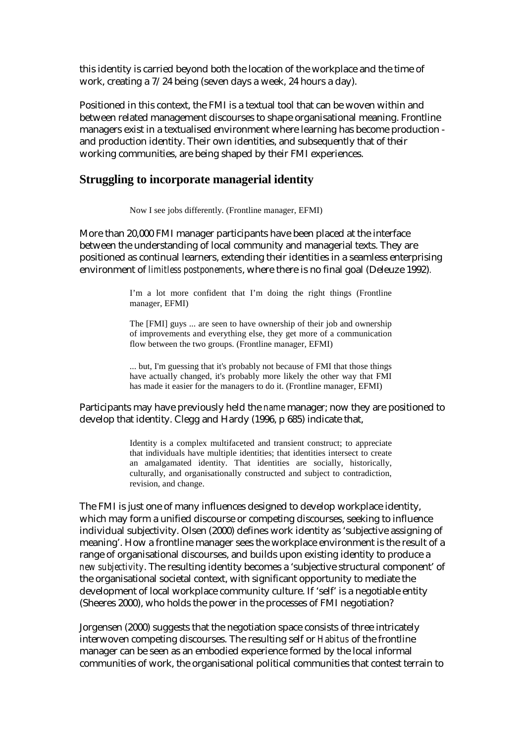this identity is carried beyond both the location of the workplace and the time of work, creating a 7/24 being (seven days a week, 24 hours a day).

Positioned in this context, the FMI is a textual tool that can be woven within and between related management discourses to shape organisational meaning. Frontline managers exist in a textualised environment where learning has become production and production identity. Their own identities, and subsequently that of their working communities, are being shaped by their FMI experiences.

### **Struggling to incorporate managerial identity**

Now I see jobs differently. (Frontline manager, EFMI)

More than 20,000 FMI manager participants have been placed at the interface between the understanding of local community and managerial texts. They are positioned as continual learners, extending their identities in a seamless enterprising environment of *limitless postponements*, where there is no final goal (Deleuze 1992)*.*

> I'm a lot more confident that I'm doing the right things (Frontline manager, EFMI)

> The [FMI] guys ... are seen to have ownership of their job and ownership of improvements and everything else, they get more of a communication flow between the two groups. (Frontline manager, EFMI)

> ... but, I'm guessing that it's probably not because of FMI that those things have actually changed, it's probably more likely the other way that FMI has made it easier for the managers to do it. (Frontline manager, EFMI)

Participants may have previously held the *name* manager; now they are positioned to develop that identity. Clegg and Hardy (1996, p 685) indicate that,

> Identity is a complex multifaceted and transient construct; to appreciate that individuals have multiple identities; that identities intersect to create an amalgamated identity. That identities are socially, historically, culturally, and organisationally constructed and subject to contradiction, revision, and change.

The FMI is just one of many influences designed to develop workplace identity, which may form a unified discourse or competing discourses, seeking to influence individual subjectivity. Olsen (2000) defines work identity as 'subjective assigning of meaning'. How a frontline manager sees the workplace environment is the result of a range of organisational discourses, and builds upon existing identity to produce a *new subjectivity*. The resulting identity becomes a 'subjective structural component' of the organisational societal context, with significant opportunity to mediate the development of local workplace community culture. If 'self' is a negotiable entity (Sheeres 2000), who holds the power in the processes of FMI negotiation?

Jorgensen (2000) suggests that the negotiation space consists of three intricately interwoven competing discourses. The resulting self or *Habitus* of the frontline manager can be seen as an embodied experience formed by the local informal communities of work, the organisational political communities that contest terrain to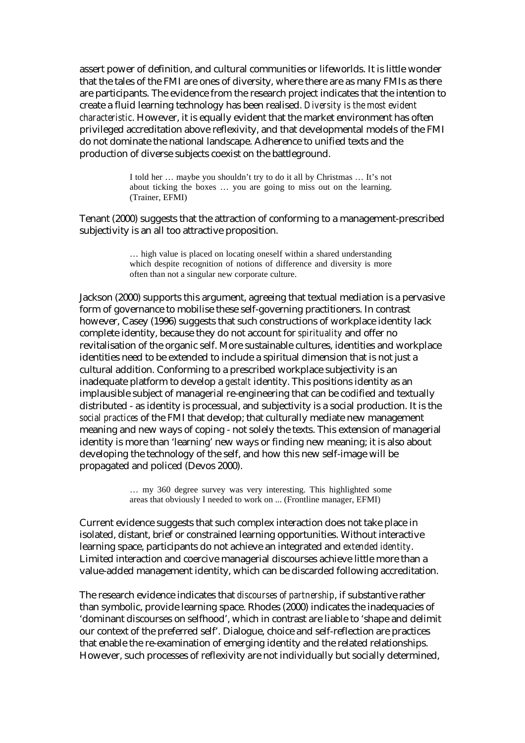assert power of definition, and cultural communities or lifeworlds. It is little wonder that the tales of the FMI are ones of diversity, where there are as many FMIs as there are participants. The evidence from the research project indicates that the intention to create a fluid learning technology has been realised. *Diversity is the most evident characteristic*. However, it is equally evident that the market environment has often privileged accreditation above reflexivity, and that developmental models of the FMI do not dominate the national landscape. Adherence to unified texts and the production of diverse subjects coexist on the battleground.

> I told her … maybe you shouldn't try to do it all by Christmas … It's not about ticking the boxes … you are going to miss out on the learning. (Trainer, EFMI)

Tenant (2000) suggests that the attraction of conforming to a management-prescribed subjectivity is an all too attractive proposition.

> … high value is placed on locating oneself within a shared understanding which despite recognition of notions of difference and diversity is more often than not a singular new corporate culture.

Jackson (2000) supports this argument, agreeing that textual mediation is a pervasive form of governance to mobilise these self-governing practitioners. In contrast however, Casey (1996) suggests that such constructions of workplace identity lack complete identity, because they do not account for *spirituality* and offer no revitalisation of the organic self. More sustainable cultures, identities and workplace identities need to be extended to include a spiritual dimension that is not just a cultural addition. Conforming to a prescribed workplace subjectivity is an inadequate platform to develop a *gestalt* identity. This positions identity as an implausible subject of managerial re-engineering that can be codified and textually distributed - as identity is processual, and subjectivity is a social production. It is the *social practices* of the FMI that develop; that culturally mediate new management meaning and new ways of coping - not solely the texts. This extension of managerial identity is more than 'learning' new ways or finding new meaning; it is also about developing the technology of the self, and how this new self-image will be propagated and policed (Devos 2000).

> … my 360 degree survey was very interesting. This highlighted some areas that obviously I needed to work on ... (Frontline manager, EFMI)

Current evidence suggests that such complex interaction does not take place in isolated, distant, brief or constrained learning opportunities. Without interactive learning space, participants do not achieve an integrated and *extended identity*. Limited interaction and coercive managerial discourses achieve little more than a value-added management identity, which can be discarded following accreditation.

The research evidence indicates that *discourses of partnership*, if substantive rather than symbolic, provide learning space. Rhodes (2000) indicates the inadequacies of 'dominant discourses on selfhood', which in contrast are liable to 'shape and delimit our context of the preferred self'. Dialogue, choice and self-reflection are practices that enable the re-examination of emerging identity and the related relationships. However, such processes of reflexivity are not individually but socially determined,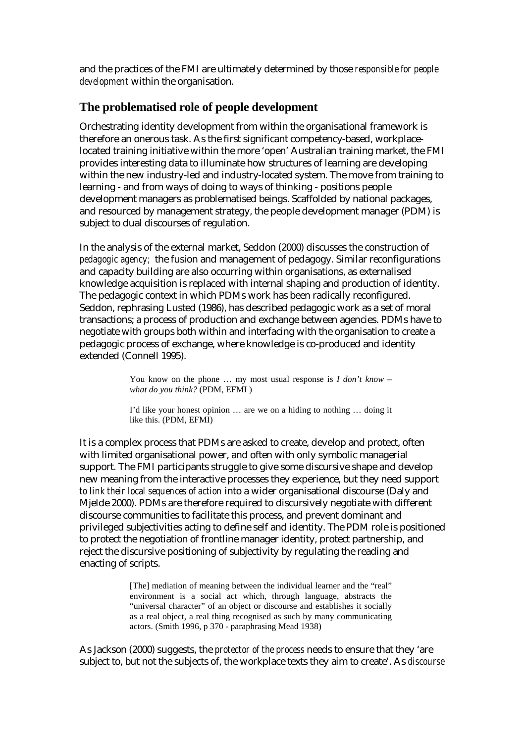and the practices of the FMI are ultimately determined by those *responsible for people development* within the organisation.

## **The problematised role of people development**

Orchestrating identity development from within the organisational framework is therefore an onerous task. As the first significant competency-based, workplacelocated training initiative within the more 'open' Australian training market, the FMI provides interesting data to illuminate how structures of learning are developing within the new industry-led and industry-located system. The move from training to learning - and from ways of doing to ways of thinking - positions people development managers as problematised beings. Scaffolded by national packages, and resourced by management strategy, the people development manager (PDM) is subject to dual discourses of regulation.

In the analysis of the external market, Seddon (2000) discusses the construction of *pedagogic agency;* the fusion and management of pedagogy. Similar reconfigurations and capacity building are also occurring within organisations, as externalised knowledge acquisition is replaced with internal shaping and production of identity. The pedagogic context in which PDMs work has been radically reconfigured. Seddon, rephrasing Lusted (1986), has described pedagogic work as a set of moral transactions; a process of production and exchange between agencies. PDMs have to negotiate with groups both within and interfacing with the organisation to create a pedagogic process of exchange, where knowledge is co-produced and identity extended (Connell 1995).

> You know on the phone ... my most usual response is *I don't know what do you think?* (PDM, EFMI )

> I'd like your honest opinion … are we on a hiding to nothing … doing it like this. (PDM, EFMI)

It is a complex process that PDMs are asked to create, develop and protect, often with limited organisational power, and often with only symbolic managerial support. The FMI participants struggle to give some discursive shape and develop new meaning from the interactive processes they experience, but they need support *to link their local sequences of action* into a wider organisational discourse (Daly and Mjelde 2000). PDMs are therefore required to discursively negotiate with different discourse communities to facilitate this process, and prevent dominant and privileged subjectivities acting to define self and identity. The PDM role is positioned to protect the negotiation of frontline manager identity, protect partnership, and reject the discursive positioning of subjectivity by regulating the reading and enacting of scripts.

> [The] mediation of meaning between the individual learner and the "real" environment is a social act which, through language, abstracts the "universal character" of an object or discourse and establishes it socially as a real object, a real thing recognised as such by many communicating actors. (Smith 1996, p 370 - paraphrasing Mead 1938)

As Jackson (2000) suggests, the *protector of the process* needs to ensure that they 'are subject to, but not the subjects of, the workplace texts they aim to create'. As *discourse*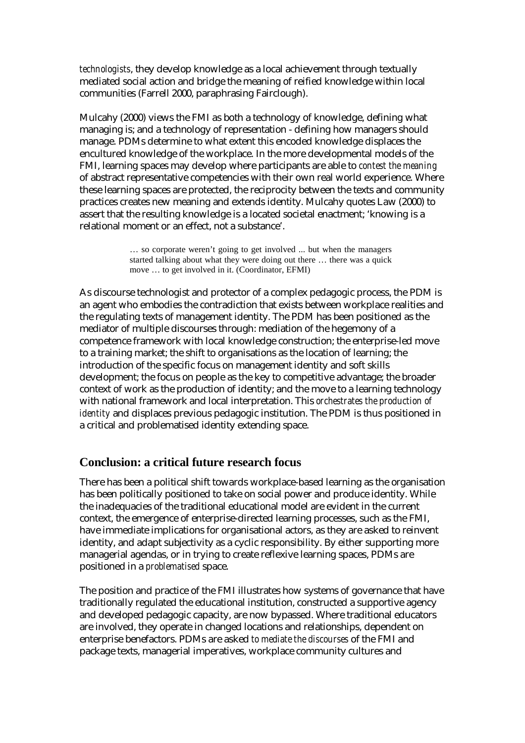*technologists*, they develop knowledge as a local achievement through textually mediated social action and bridge the meaning of reified knowledge within local communities (Farrell 2000, paraphrasing Fairclough).

Mulcahy (2000) views the FMI as both a technology of knowledge, defining what managing is; and a technology of representation - defining how managers should manage. PDMs determine to what extent this encoded knowledge displaces the encultured knowledge of the workplace. In the more developmental models of the FMI, learning spaces may develop where participants are able to *contest the meaning* of abstract representative competencies with their own real world experience. Where these learning spaces are protected, the reciprocity between the texts and community practices creates new meaning and extends identity. Mulcahy quotes Law (2000) to assert that the resulting knowledge is a located societal enactment; 'knowing is a relational moment or an effect, not a substance'.

> … so corporate weren't going to get involved ... but when the managers started talking about what they were doing out there … there was a quick move … to get involved in it. (Coordinator, EFMI)

As discourse technologist and protector of a complex pedagogic process, the PDM is an agent who embodies the contradiction that exists between workplace realities and the regulating texts of management identity. The PDM has been positioned as the mediator of multiple discourses through: mediation of the hegemony of a competence framework with local knowledge construction; the enterprise-led move to a training market; the shift to organisations as the location of learning; the introduction of the specific focus on management identity and soft skills development; the focus on people as the key to competitive advantage; the broader context of work as the production of identity; and the move to a learning technology with national framework and local interpretation. This *orchestrates the production of identity* and displaces previous pedagogic institution. The PDM is thus positioned in a critical and problematised identity extending space.

### **Conclusion: a critical future research focus**

There has been a political shift towards workplace-based learning as the organisation has been politically positioned to take on social power and produce identity. While the inadequacies of the traditional educational model are evident in the current context, the emergence of enterprise-directed learning processes, such as the FMI, have immediate implications for organisational actors, as they are asked to reinvent identity, and adapt subjectivity as a cyclic responsibility. By either supporting more managerial agendas, or in trying to create reflexive learning spaces, PDMs are positioned in a *problematised* space.

The position and practice of the FMI illustrates how systems of governance that have traditionally regulated the educational institution, constructed a supportive agency and developed pedagogic capacity, are now bypassed. Where traditional educators are involved, they operate in changed locations and relationships, dependent on enterprise benefactors. PDMs are asked *to mediate the discourses* of the FMI and package texts, managerial imperatives, workplace community cultures and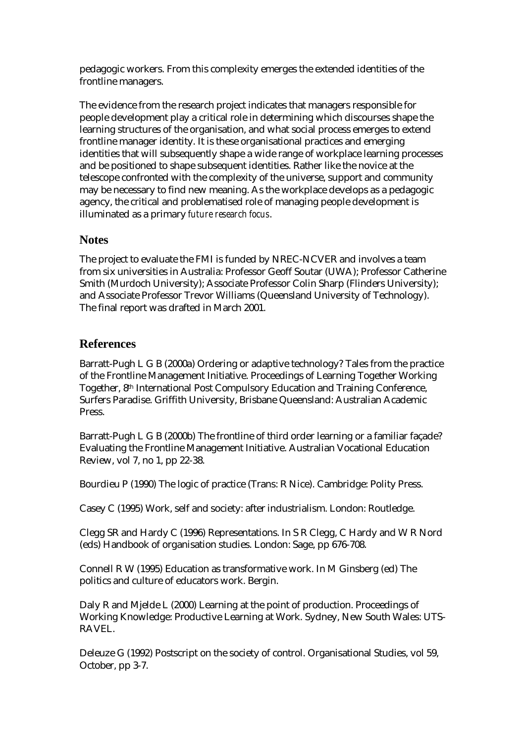pedagogic workers. From this complexity emerges the extended identities of the frontline managers.

The evidence from the research project indicates that managers responsible for people development play a critical role in determining which discourses shape the learning structures of the organisation, and what social process emerges to extend frontline manager identity. It is these organisational practices and emerging identities that will subsequently shape a wide range of workplace learning processes and be positioned to shape subsequent identities. Rather like the novice at the telescope confronted with the complexity of the universe, support and community may be necessary to find new meaning. As the workplace develops as a pedagogic agency, the critical and problematised role of managing people development is illuminated as a primary *future research focus*.

## **Notes**

The project to evaluate the FMI is funded by NREC-NCVER and involves a team from six universities in Australia: Professor Geoff Soutar (UWA); Professor Catherine Smith (Murdoch University); Associate Professor Colin Sharp (Flinders University); and Associate Professor Trevor Williams (Queensland University of Technology). The final report was drafted in March 2001.

# **References**

Barratt-Pugh L G B (2000a) Ordering or adaptive technology? Tales from the practice of the Frontline Management Initiative. Proceedings of Learning Together Working Together, 8th International Post Compulsory Education and Training Conference, Surfers Paradise. Griffith University, Brisbane Queensland: Australian Academic Press.

Barratt-Pugh L G B (2000b) The frontline of third order learning or a familiar façade? Evaluating the Frontline Management Initiative. Australian Vocational Education Review, vol 7, no 1, pp 22-38.

Bourdieu P (1990) The logic of practice (Trans: R Nice). Cambridge: Polity Press.

Casey C (1995) Work, self and society: after industrialism. London: Routledge.

Clegg SR and Hardy C (1996) Representations. In S R Clegg, C Hardy and W R Nord (eds) Handbook of organisation studies. London: Sage, pp 676-708.

Connell R W (1995) Education as transformative work. In M Ginsberg (ed) The politics and culture of educators work. Bergin.

Daly R and Mjelde L (2000) Learning at the point of production. Proceedings of Working Knowledge: Productive Learning at Work. Sydney, New South Wales: UTS-RAVEL.

Deleuze G (1992) Postscript on the society of control. Organisational Studies, vol 59, October, pp 3-7.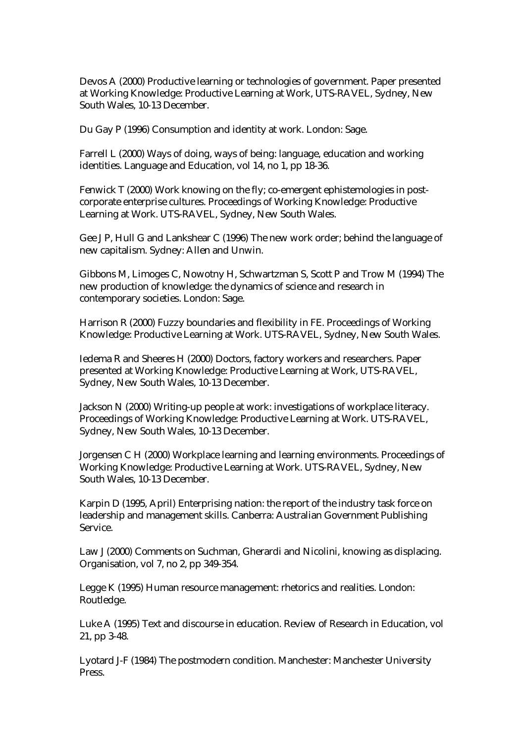Devos A (2000) Productive learning or technologies of government. Paper presented at Working Knowledge: Productive Learning at Work, UTS-RAVEL, Sydney, New South Wales, 10-13 December.

Du Gay P (1996) Consumption and identity at work. London: Sage.

Farrell L (2000) Ways of doing, ways of being: language, education and working identities. Language and Education, vol 14, no 1, pp 18-36.

Fenwick T (2000) Work knowing on the fly; co-emergent ephistemologies in postcorporate enterprise cultures. Proceedings of Working Knowledge: Productive Learning at Work. UTS-RAVEL, Sydney, New South Wales.

Gee J P, Hull G and Lankshear C (1996) The new work order; behind the language of new capitalism. Sydney: Allen and Unwin.

Gibbons M, Limoges C, Nowotny H, Schwartzman S, Scott P and Trow M (1994) The new production of knowledge: the dynamics of science and research in contemporary societies. London: Sage.

Harrison R (2000) Fuzzy boundaries and flexibility in FE. Proceedings of Working Knowledge: Productive Learning at Work. UTS-RAVEL, Sydney, New South Wales.

Iedema R and Sheeres H (2000) Doctors, factory workers and researchers. Paper presented at Working Knowledge: Productive Learning at Work, UTS-RAVEL, Sydney, New South Wales, 10-13 December.

Jackson N (2000) Writing-up people at work: investigations of workplace literacy. Proceedings of Working Knowledge: Productive Learning at Work. UTS-RAVEL, Sydney, New South Wales, 10-13 December.

Jorgensen C H (2000) Workplace learning and learning environments. Proceedings of Working Knowledge: Productive Learning at Work. UTS-RAVEL, Sydney, New South Wales, 10-13 December.

Karpin D (1995, April) Enterprising nation: the report of the industry task force on leadership and management skills. Canberra: Australian Government Publishing Service.

Law J (2000) Comments on Suchman, Gherardi and Nicolini, knowing as displacing. Organisation, vol 7, no 2, pp 349-354.

Legge K (1995) Human resource management: rhetorics and realities. London: Routledge.

Luke A (1995) Text and discourse in education. Review of Research in Education, vol 21, pp 3-48.

Lyotard J-F (1984) The postmodern condition. Manchester: Manchester University Press.